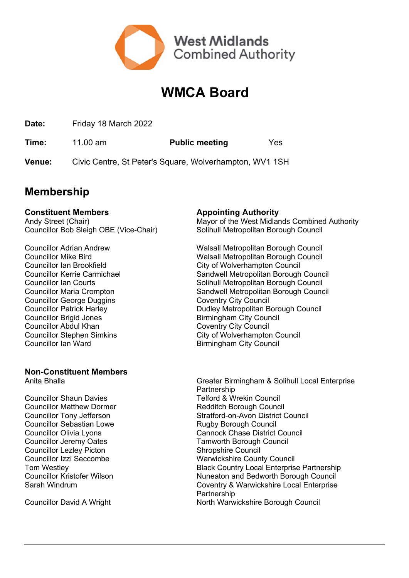

## **WMCA Board**

**Date:** Friday 18 March 2022

**Time:** 11.00 am **Public meeting** Yes

**Venue:** Civic Centre, St Peter's Square, Wolverhampton, WV1 1SH

### **Membership**

#### **Constituent Members Appointing Authority**

Councillor Bob Sleigh OBE (Vice-Chair) Solihull Metropolitan Borough Council

Councillor George Duggins Coventry City Council Councillor Brigid Jones **Birmingham City Council** Councillor Abdul Khan Coventry City Council Councillor Ian Ward **Birmingham City Council** 

## **Non-Constituent Members**

Councillor Shaun Davies Telford & Wrekin Council Councillor Matthew Dormer<br>
Councillor Tony Jefferson<br>
Councillor Tony Jefferson<br>
Councillor Tony Jefferson<br>
Councillor Tony Jefferson Councillor Sebastian Lowe Rugby Borough Council Councillor Jeremy Oates Tamworth Borough Council Councillor Lezley Picton Shropshire Council

Andy Street (Chair) Mayor of the West Midlands Combined Authority

Councillor Adrian Andrew Walsall Metropolitan Borough Council Councillor Mike Bird **Walsall Metropolitan Borough Council** Councillor Ian Brookfield City of Wolverhampton Council Councillor Kerrie Carmichael Sandwell Metropolitan Borough Council Councillor Ian Courts Solihull Metropolitan Borough Council Councillor Maria Crompton Sandwell Metropolitan Borough Council Councillor Patrick Harley **Dudley Metropolitan Borough Council** Councillor Stephen Simkins City of Wolverhampton Council

Anita Bhalla **Greater Birmingham & Solihull Local Enterprise** Partnership Stratford-on-Avon District Council Councillor Olivia Lyons Cannock Chase District Council Councillor Izzi Seccombe Warwickshire County Council Tom Westley **Black Country Local Enterprise Partnership** Councillor Kristofer Wilson<br>
Sarah Windrum<br>
Coventry & Warwickshire Local Enterprise Coventry & Warwickshire Local Enterprise Partnership Councillor David A Wright North Warwickshire Borough Council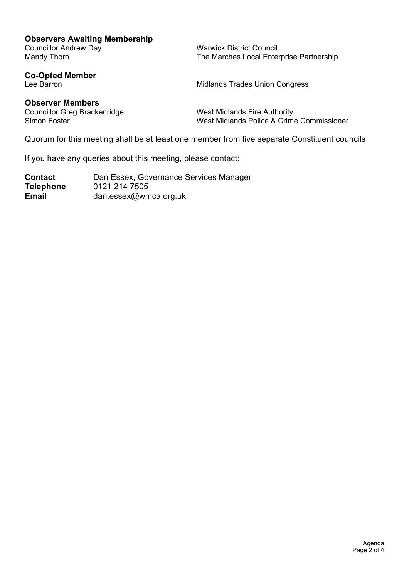#### **Observers Awaiting Membership**

Councillor Andrew Day<br>
Marwick District Council<br>
Mandy Thorn<br>
Marches Local Ente

The Marches Local Enterprise Partnership

**Co-Opted Member**

Midlands Trades Union Congress

**Observer Members** Councillor Greg Brackenridge West Midlands Fire Authority

Simon Foster Theorem Commissioner West Midlands Police & Crime Commissioner

Quorum for this meeting shall be at least one member from five separate Constituent councils

If you have any queries about this meeting, please contact:

**Contact** Dan Essex, Governance Services Manager **Telephone** 0121 214 7505 **Email** dan.essex@wmca.org.uk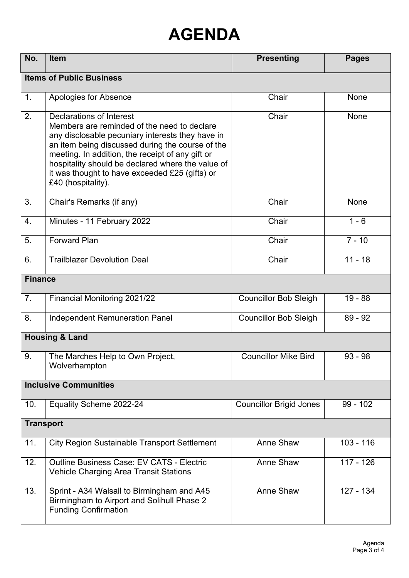# **AGENDA**

| No.                             | <b>Item</b>                                                                                                                                                                                                                                                                                                                                                      | <b>Presenting</b>              | <b>Pages</b> |  |
|---------------------------------|------------------------------------------------------------------------------------------------------------------------------------------------------------------------------------------------------------------------------------------------------------------------------------------------------------------------------------------------------------------|--------------------------------|--------------|--|
| <b>Items of Public Business</b> |                                                                                                                                                                                                                                                                                                                                                                  |                                |              |  |
| 1.                              | Apologies for Absence                                                                                                                                                                                                                                                                                                                                            | Chair                          | <b>None</b>  |  |
| 2.                              | Declarations of Interest<br>Members are reminded of the need to declare<br>any disclosable pecuniary interests they have in<br>an item being discussed during the course of the<br>meeting. In addition, the receipt of any gift or<br>hospitality should be declared where the value of<br>it was thought to have exceeded £25 (gifts) or<br>£40 (hospitality). | Chair                          | None         |  |
| 3.                              | Chair's Remarks (if any)                                                                                                                                                                                                                                                                                                                                         | Chair                          | None         |  |
| 4.                              | Minutes - 11 February 2022                                                                                                                                                                                                                                                                                                                                       | Chair                          | $1 - 6$      |  |
| 5.                              | <b>Forward Plan</b>                                                                                                                                                                                                                                                                                                                                              | Chair                          | $7 - 10$     |  |
| 6.                              | <b>Trailblazer Devolution Deal</b>                                                                                                                                                                                                                                                                                                                               | Chair                          | $11 - 18$    |  |
| <b>Finance</b>                  |                                                                                                                                                                                                                                                                                                                                                                  |                                |              |  |
| 7.                              | Financial Monitoring 2021/22                                                                                                                                                                                                                                                                                                                                     | <b>Councillor Bob Sleigh</b>   | $19 - 88$    |  |
| 8.                              | <b>Independent Remuneration Panel</b>                                                                                                                                                                                                                                                                                                                            | <b>Councillor Bob Sleigh</b>   | $89 - 92$    |  |
| <b>Housing &amp; Land</b>       |                                                                                                                                                                                                                                                                                                                                                                  |                                |              |  |
| 9.                              | The Marches Help to Own Project,<br>Wolverhampton                                                                                                                                                                                                                                                                                                                | <b>Councillor Mike Bird</b>    | $93 - 98$    |  |
| <b>Inclusive Communities</b>    |                                                                                                                                                                                                                                                                                                                                                                  |                                |              |  |
| 10.                             | Equality Scheme 2022-24                                                                                                                                                                                                                                                                                                                                          | <b>Councillor Brigid Jones</b> | $99 - 102$   |  |
| <b>Transport</b>                |                                                                                                                                                                                                                                                                                                                                                                  |                                |              |  |
| 11.                             | <b>City Region Sustainable Transport Settlement</b>                                                                                                                                                                                                                                                                                                              | Anne Shaw                      | $103 - 116$  |  |
| 12.                             | <b>Outline Business Case: EV CATS - Electric</b><br><b>Vehicle Charging Area Transit Stations</b>                                                                                                                                                                                                                                                                | Anne Shaw                      | $117 - 126$  |  |
| 13.                             | Sprint - A34 Walsall to Birmingham and A45<br>Birmingham to Airport and Solihull Phase 2<br><b>Funding Confirmation</b>                                                                                                                                                                                                                                          | Anne Shaw                      | 127 - 134    |  |